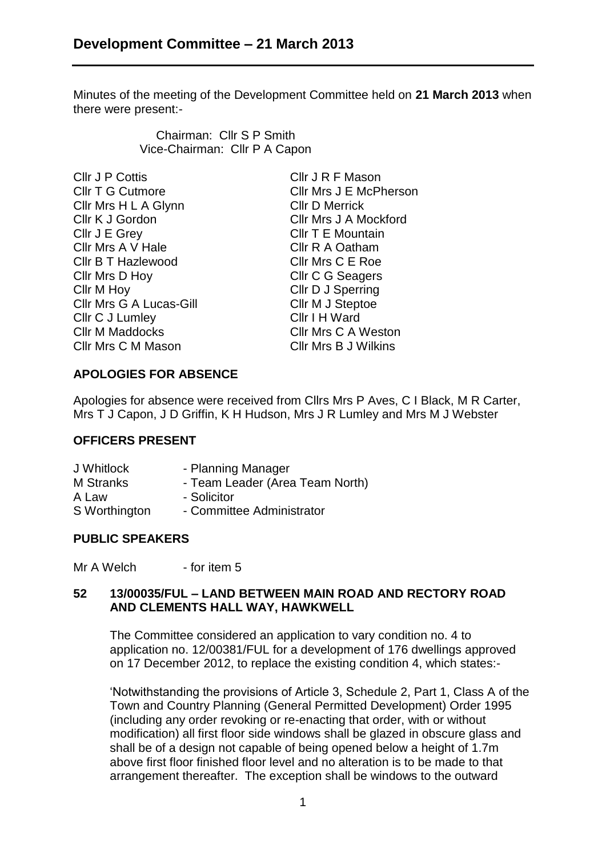Minutes of the meeting of the Development Committee held on **21 March 2013** when there were present:-

> Chairman: Cllr S P Smith Vice-Chairman: Cllr P A Capon

| Cllr J P Cottis                | Cllr J R F Mason            |
|--------------------------------|-----------------------------|
| <b>CIIr T G Cutmore</b>        | Cllr Mrs J E McPherson      |
| Cllr Mrs H L A Glynn           | <b>CIIr D Merrick</b>       |
| Cllr K J Gordon                | Cllr Mrs J A Mockford       |
| Cllr J E Grey                  | CIIr T E Mountain           |
| Cllr Mrs A V Hale              | Cllr R A Oatham             |
| <b>CIIr B T Hazlewood</b>      | Cllr Mrs C E Roe            |
| Cllr Mrs D Hoy                 | <b>CIIr C G Seagers</b>     |
| Cllr M Hoy                     | Cllr D J Sperring           |
| <b>Cllr Mrs G A Lucas-Gill</b> | Cllr M J Steptoe            |
| Cllr C J Lumley                | Cllr I H Ward               |
| <b>CIIr M Maddocks</b>         | <b>CIIr Mrs C A Weston</b>  |
| Cllr Mrs C M Mason             | <b>CIIr Mrs B J Wilkins</b> |

### **APOLOGIES FOR ABSENCE**

Apologies for absence were received from Cllrs Mrs P Aves, C I Black, M R Carter, Mrs T J Capon, J D Griffin, K H Hudson, Mrs J R Lumley and Mrs M J Webster

#### **OFFICERS PRESENT**

| J Whitlock       | - Planning Manager              |
|------------------|---------------------------------|
| <b>M</b> Stranks | - Team Leader (Area Team North) |
| A Law            | - Solicitor                     |
| S Worthington    | - Committee Administrator       |

#### **PUBLIC SPEAKERS**

Mr A Welch - for item 5

#### **52 13/00035/FUL – LAND BETWEEN MAIN ROAD AND RECTORY ROAD AND CLEMENTS HALL WAY, HAWKWELL**

The Committee considered an application to vary condition no. 4 to application no. 12/00381/FUL for a development of 176 dwellings approved on 17 December 2012, to replace the existing condition 4, which states:-

'Notwithstanding the provisions of Article 3, Schedule 2, Part 1, Class A of the Town and Country Planning (General Permitted Development) Order 1995 (including any order revoking or re-enacting that order, with or without modification) all first floor side windows shall be glazed in obscure glass and shall be of a design not capable of being opened below a height of 1.7m above first floor finished floor level and no alteration is to be made to that arrangement thereafter. The exception shall be windows to the outward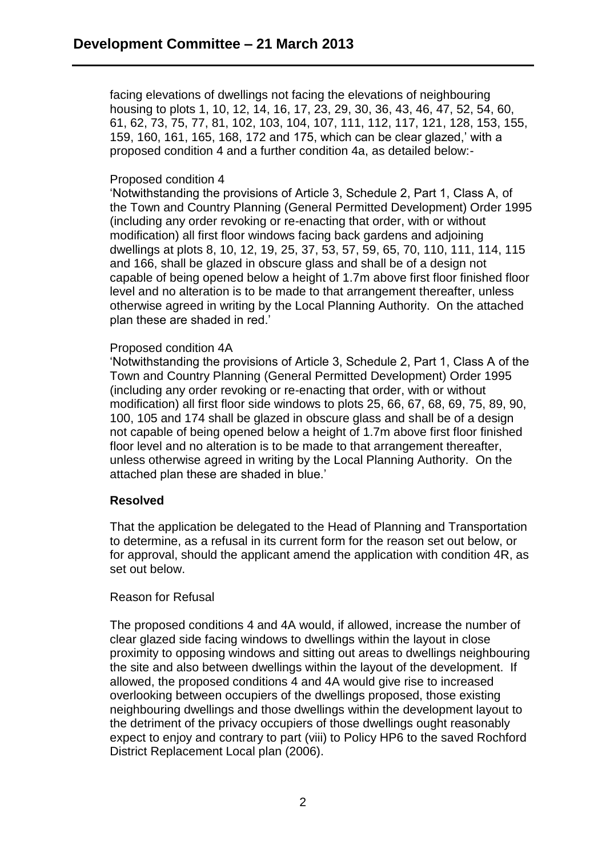facing elevations of dwellings not facing the elevations of neighbouring housing to plots 1, 10, 12, 14, 16, 17, 23, 29, 30, 36, 43, 46, 47, 52, 54, 60, 61, 62, 73, 75, 77, 81, 102, 103, 104, 107, 111, 112, 117, 121, 128, 153, 155, 159, 160, 161, 165, 168, 172 and 175, which can be clear glazed,' with a proposed condition 4 and a further condition 4a, as detailed below:-

### Proposed condition 4

'Notwithstanding the provisions of Article 3, Schedule 2, Part 1, Class A, of the Town and Country Planning (General Permitted Development) Order 1995 (including any order revoking or re-enacting that order, with or without modification) all first floor windows facing back gardens and adjoining dwellings at plots 8, 10, 12, 19, 25, 37, 53, 57, 59, 65, 70, 110, 111, 114, 115 and 166, shall be glazed in obscure glass and shall be of a design not capable of being opened below a height of 1.7m above first floor finished floor level and no alteration is to be made to that arrangement thereafter, unless otherwise agreed in writing by the Local Planning Authority. On the attached plan these are shaded in red.'

#### Proposed condition 4A

'Notwithstanding the provisions of Article 3, Schedule 2, Part 1, Class A of the Town and Country Planning (General Permitted Development) Order 1995 (including any order revoking or re-enacting that order, with or without modification) all first floor side windows to plots 25, 66, 67, 68, 69, 75, 89, 90, 100, 105 and 174 shall be glazed in obscure glass and shall be of a design not capable of being opened below a height of 1.7m above first floor finished floor level and no alteration is to be made to that arrangement thereafter, unless otherwise agreed in writing by the Local Planning Authority. On the attached plan these are shaded in blue.'

#### **Resolved**

That the application be delegated to the Head of Planning and Transportation to determine, as a refusal in its current form for the reason set out below, or for approval, should the applicant amend the application with condition 4R, as set out below.

#### Reason for Refusal

The proposed conditions 4 and 4A would, if allowed, increase the number of clear glazed side facing windows to dwellings within the layout in close proximity to opposing windows and sitting out areas to dwellings neighbouring the site and also between dwellings within the layout of the development. If allowed, the proposed conditions 4 and 4A would give rise to increased overlooking between occupiers of the dwellings proposed, those existing neighbouring dwellings and those dwellings within the development layout to the detriment of the privacy occupiers of those dwellings ought reasonably expect to enjoy and contrary to part (viii) to Policy HP6 to the saved Rochford District Replacement Local plan (2006).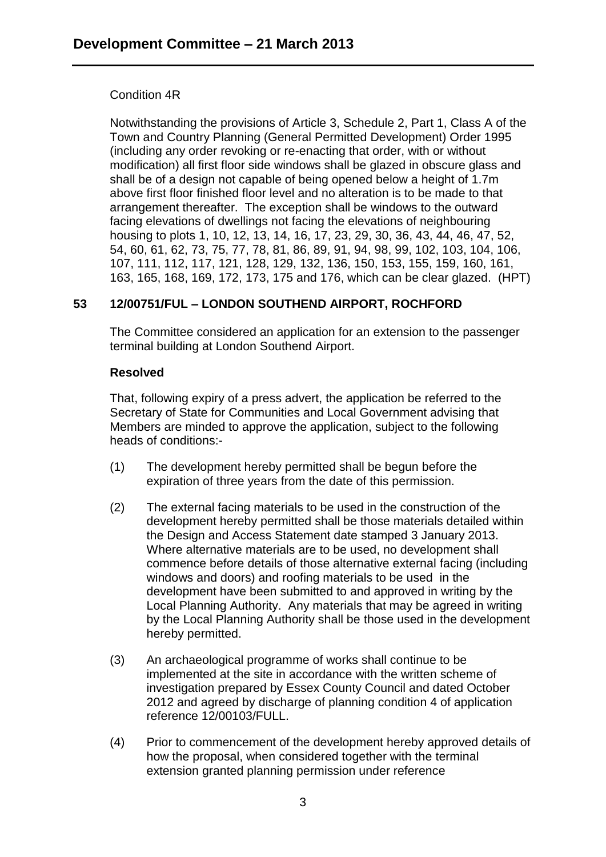## Condition 4R

Notwithstanding the provisions of Article 3, Schedule 2, Part 1, Class A of the Town and Country Planning (General Permitted Development) Order 1995 (including any order revoking or re-enacting that order, with or without modification) all first floor side windows shall be glazed in obscure glass and shall be of a design not capable of being opened below a height of 1.7m above first floor finished floor level and no alteration is to be made to that arrangement thereafter. The exception shall be windows to the outward facing elevations of dwellings not facing the elevations of neighbouring housing to plots 1, 10, 12, 13, 14, 16, 17, 23, 29, 30, 36, 43, 44, 46, 47, 52, 54, 60, 61, 62, 73, 75, 77, 78, 81, 86, 89, 91, 94, 98, 99, 102, 103, 104, 106, 107, 111, 112, 117, 121, 128, 129, 132, 136, 150, 153, 155, 159, 160, 161, 163, 165, 168, 169, 172, 173, 175 and 176, which can be clear glazed. (HPT)

# **53 12/00751/FUL – LONDON SOUTHEND AIRPORT, ROCHFORD**

The Committee considered an application for an extension to the passenger terminal building at London Southend Airport.

### **Resolved**

That, following expiry of a press advert, the application be referred to the Secretary of State for Communities and Local Government advising that Members are minded to approve the application, subject to the following heads of conditions:-

- (1) The development hereby permitted shall be begun before the expiration of three years from the date of this permission.
- (2) The external facing materials to be used in the construction of the development hereby permitted shall be those materials detailed within the Design and Access Statement date stamped 3 January 2013. Where alternative materials are to be used, no development shall commence before details of those alternative external facing (including windows and doors) and roofing materials to be used in the development have been submitted to and approved in writing by the Local Planning Authority. Any materials that may be agreed in writing by the Local Planning Authority shall be those used in the development hereby permitted.
- (3) An archaeological programme of works shall continue to be implemented at the site in accordance with the written scheme of investigation prepared by Essex County Council and dated October 2012 and agreed by discharge of planning condition 4 of application reference 12/00103/FULL.
- (4) Prior to commencement of the development hereby approved details of how the proposal, when considered together with the terminal extension granted planning permission under reference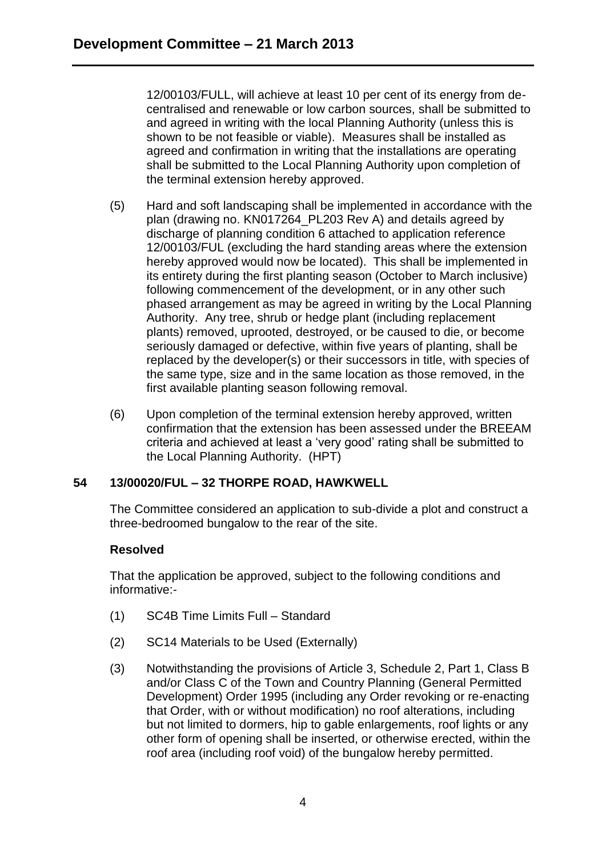12/00103/FULL, will achieve at least 10 per cent of its energy from decentralised and renewable or low carbon sources, shall be submitted to and agreed in writing with the local Planning Authority (unless this is shown to be not feasible or viable). Measures shall be installed as agreed and confirmation in writing that the installations are operating shall be submitted to the Local Planning Authority upon completion of the terminal extension hereby approved.

- (5) Hard and soft landscaping shall be implemented in accordance with the plan (drawing no. KN017264\_PL203 Rev A) and details agreed by discharge of planning condition 6 attached to application reference 12/00103/FUL (excluding the hard standing areas where the extension hereby approved would now be located). This shall be implemented in its entirety during the first planting season (October to March inclusive) following commencement of the development, or in any other such phased arrangement as may be agreed in writing by the Local Planning Authority. Any tree, shrub or hedge plant (including replacement plants) removed, uprooted, destroyed, or be caused to die, or become seriously damaged or defective, within five years of planting, shall be replaced by the developer(s) or their successors in title, with species of the same type, size and in the same location as those removed, in the first available planting season following removal.
- (6) Upon completion of the terminal extension hereby approved, written confirmation that the extension has been assessed under the BREEAM criteria and achieved at least a 'very good' rating shall be submitted to the Local Planning Authority. (HPT)

## **54 13/00020/FUL – 32 THORPE ROAD, HAWKWELL**

The Committee considered an application to sub-divide a plot and construct a three-bedroomed bungalow to the rear of the site.

## **Resolved**

That the application be approved, subject to the following conditions and informative:-

- (1) SC4B Time Limits Full Standard
- (2) SC14 Materials to be Used (Externally)
- (3) Notwithstanding the provisions of Article 3, Schedule 2, Part 1, Class B and/or Class C of the Town and Country Planning (General Permitted Development) Order 1995 (including any Order revoking or re-enacting that Order, with or without modification) no roof alterations, including but not limited to dormers, hip to gable enlargements, roof lights or any other form of opening shall be inserted, or otherwise erected, within the roof area (including roof void) of the bungalow hereby permitted.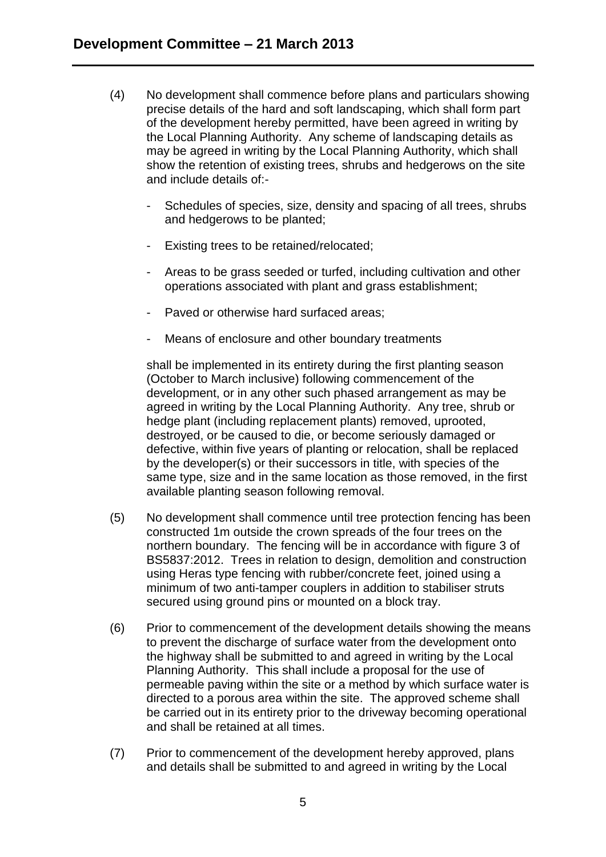- (4) No development shall commence before plans and particulars showing precise details of the hard and soft landscaping, which shall form part of the development hereby permitted, have been agreed in writing by the Local Planning Authority. Any scheme of landscaping details as may be agreed in writing by the Local Planning Authority, which shall show the retention of existing trees, shrubs and hedgerows on the site and include details of:-
	- Schedules of species, size, density and spacing of all trees, shrubs and hedgerows to be planted;
	- Existing trees to be retained/relocated;
	- Areas to be grass seeded or turfed, including cultivation and other operations associated with plant and grass establishment;
	- Paved or otherwise hard surfaced areas;
	- Means of enclosure and other boundary treatments

shall be implemented in its entirety during the first planting season (October to March inclusive) following commencement of the development, or in any other such phased arrangement as may be agreed in writing by the Local Planning Authority. Any tree, shrub or hedge plant (including replacement plants) removed, uprooted, destroyed, or be caused to die, or become seriously damaged or defective, within five years of planting or relocation, shall be replaced by the developer(s) or their successors in title, with species of the same type, size and in the same location as those removed, in the first available planting season following removal.

- (5) No development shall commence until tree protection fencing has been constructed 1m outside the crown spreads of the four trees on the northern boundary. The fencing will be in accordance with figure 3 of BS5837:2012. Trees in relation to design, demolition and construction using Heras type fencing with rubber/concrete feet, joined using a minimum of two anti-tamper couplers in addition to stabiliser struts secured using ground pins or mounted on a block tray.
- (6) Prior to commencement of the development details showing the means to prevent the discharge of surface water from the development onto the highway shall be submitted to and agreed in writing by the Local Planning Authority. This shall include a proposal for the use of permeable paving within the site or a method by which surface water is directed to a porous area within the site. The approved scheme shall be carried out in its entirety prior to the driveway becoming operational and shall be retained at all times.
- (7) Prior to commencement of the development hereby approved, plans and details shall be submitted to and agreed in writing by the Local